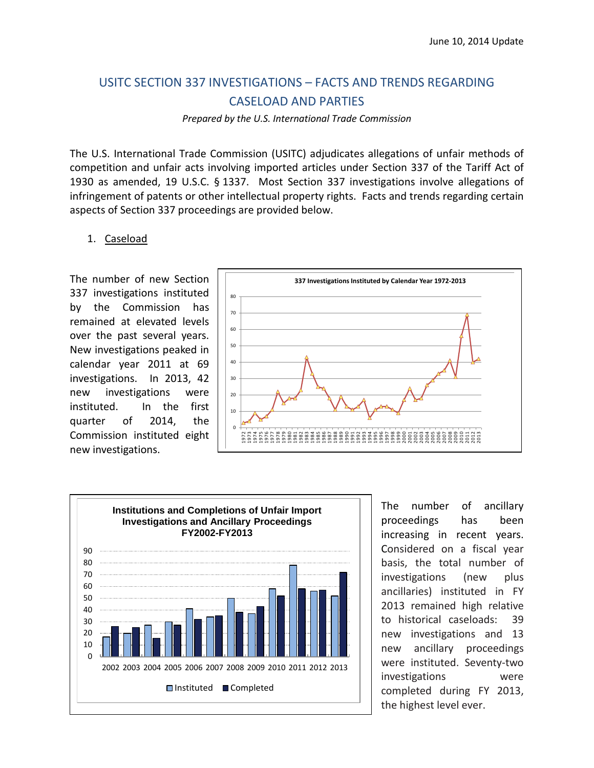# USITC SECTION 337 INVESTIGATIONS – FACTS AND TRENDS REGARDING CASELOAD AND PARTIES

*Prepared by the U.S. International Trade Commission*

The U.S. International Trade Commission (USITC) adjudicates allegations of unfair methods of competition and unfair acts involving imported articles under Section 337 of the Tariff Act of 1930 as amended, 19 U.S.C. § 1337. Most Section 337 investigations involve allegations of infringement of patents or other intellectual property rights. Facts and trends regarding certain aspects of Section 337 proceedings are provided below.

#### 1. Caseload

The number of new Section 337 investigations instituted by the Commission has remained at elevated levels over the past several years. New investigations peaked in calendar year 2011 at 69 investigations. In 2013, 42 new investigations were instituted. In the first quarter of 2014, the Commission instituted eight new investigations.





The number of ancillary proceedings has been increasing in recent years. Considered on a fiscal year basis, the total number of investigations (new plus ancillaries) instituted in FY 2013 remained high relative to historical caseloads: 39 new investigations and 13 new ancillary proceedings were instituted. Seventy-two investigations were completed during FY 2013, the highest level ever.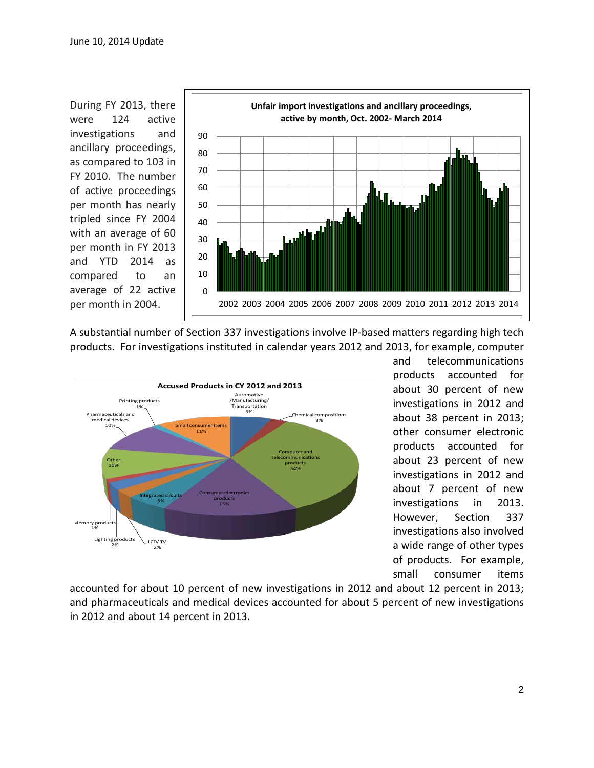During FY 2013, there were 124 active investigations and ancillary proceedings, as compared to 103 in FY 2010. The number of active proceedings per month has nearly tripled since FY 2004 with an average of 60 per month in FY 2013 and YTD 2014 as compared to an average of 22 active per month in 2004.



A substantial number of Section 337 investigations involve IP-based matters regarding high tech products. For investigations instituted in calendar years 2012 and 2013, for example, computer



and telecommunications products accounted for about 30 percent of new investigations in 2012 and about 38 percent in 2013; other consumer electronic products accounted for about 23 percent of new investigations in 2012 and about 7 percent of new investigations in 2013. However, Section 337 investigations also involved a wide range of other types of products. For example, small consumer items

accounted for about 10 percent of new investigations in 2012 and about 12 percent in 2013; and pharmaceuticals and medical devices accounted for about 5 percent of new investigations in 2012 and about 14 percent in 2013.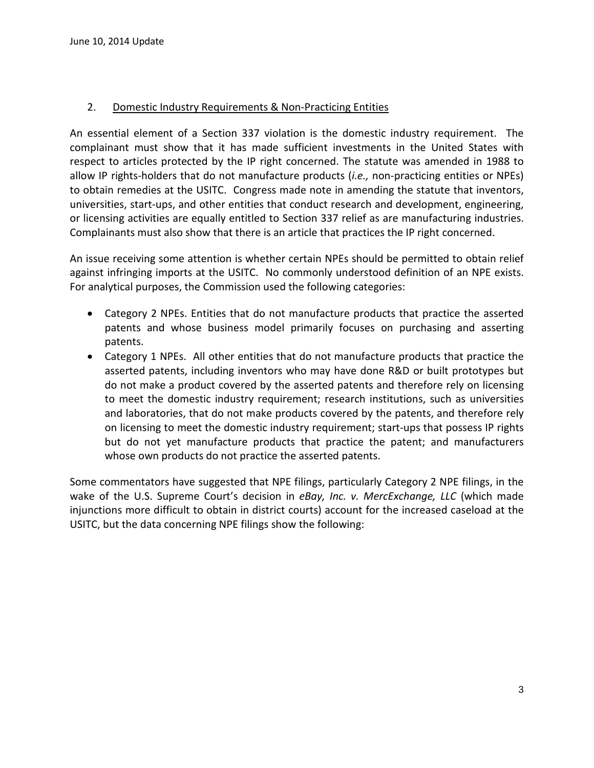## 2. Domestic Industry Requirements & Non-Practicing Entities

An essential element of a Section 337 violation is the domestic industry requirement. The complainant must show that it has made sufficient investments in the United States with respect to articles protected by the IP right concerned. The statute was amended in 1988 to allow IP rights-holders that do not manufacture products (*i.e.,* non-practicing entities or NPEs) to obtain remedies at the USITC. Congress made note in amending the statute that inventors, universities, start-ups, and other entities that conduct research and development, engineering, or licensing activities are equally entitled to Section 337 relief as are manufacturing industries. Complainants must also show that there is an article that practices the IP right concerned.

An issue receiving some attention is whether certain NPEs should be permitted to obtain relief against infringing imports at the USITC. No commonly understood definition of an NPE exists. For analytical purposes, the Commission used the following categories:

- Category 2 NPEs. Entities that do not manufacture products that practice the asserted patents and whose business model primarily focuses on purchasing and asserting patents.
- Category 1 NPEs. All other entities that do not manufacture products that practice the asserted patents, including inventors who may have done R&D or built prototypes but do not make a product covered by the asserted patents and therefore rely on licensing to meet the domestic industry requirement; research institutions, such as universities and laboratories, that do not make products covered by the patents, and therefore rely on licensing to meet the domestic industry requirement; start-ups that possess IP rights but do not yet manufacture products that practice the patent; and manufacturers whose own products do not practice the asserted patents.

Some commentators have suggested that NPE filings, particularly Category 2 NPE filings, in the wake of the U.S. Supreme Court's decision in *eBay, Inc. v. MercExchange, LLC* (which made injunctions more difficult to obtain in district courts) account for the increased caseload at the USITC, but the data concerning NPE filings show the following: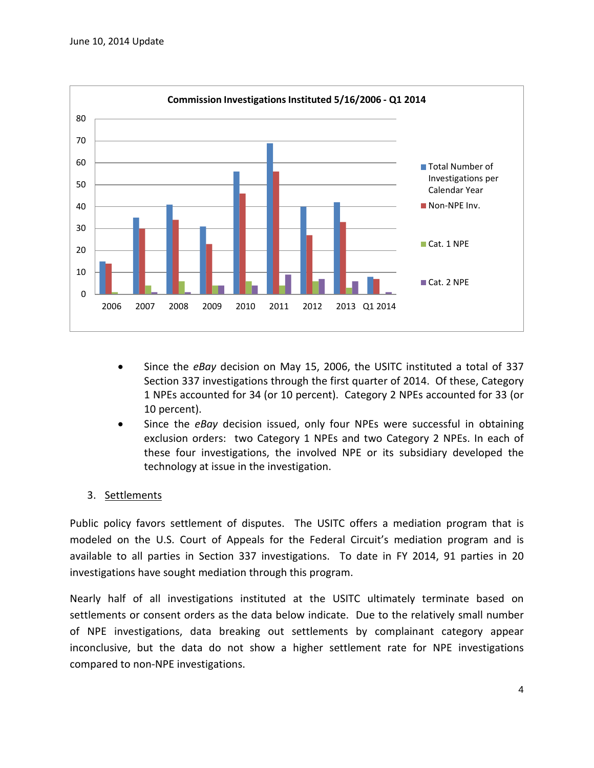

- Since the *eBay* decision on May 15, 2006, the USITC instituted a total of 337 Section 337 investigations through the first quarter of 2014. Of these, Category 1 NPEs accounted for 34 (or 10 percent). Category 2 NPEs accounted for 33 (or 10 percent).
- Since the *eBay* decision issued, only four NPEs were successful in obtaining exclusion orders: two Category 1 NPEs and two Category 2 NPEs. In each of these four investigations, the involved NPE or its subsidiary developed the technology at issue in the investigation.

## 3. Settlements

Public policy favors settlement of disputes. The USITC offers a mediation program that is modeled on the U.S. Court of Appeals for the Federal Circuit's mediation program and is available to all parties in Section 337 investigations. To date in FY 2014, 91 parties in 20 investigations have sought mediation through this program.

Nearly half of all investigations instituted at the USITC ultimately terminate based on settlements or consent orders as the data below indicate. Due to the relatively small number of NPE investigations, data breaking out settlements by complainant category appear inconclusive, but the data do not show a higher settlement rate for NPE investigations compared to non-NPE investigations.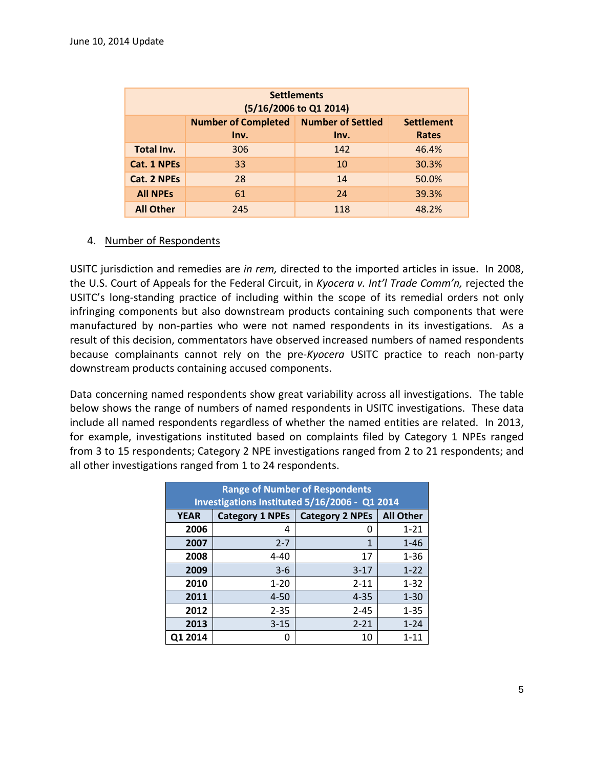| <b>Settlements</b><br>(5/16/2006 to Q1 2014) |                                    |                                  |                                   |  |
|----------------------------------------------|------------------------------------|----------------------------------|-----------------------------------|--|
|                                              | <b>Number of Completed</b><br>Inv. | <b>Number of Settled</b><br>Inv. | <b>Settlement</b><br><b>Rates</b> |  |
| Total Inv.                                   | 306                                | 142                              | 46.4%                             |  |
| Cat. 1 NPEs                                  | 33                                 | 10                               | 30.3%                             |  |
| <b>Cat. 2 NPEs</b>                           | 28                                 | 14                               | 50.0%                             |  |
| <b>All NPEs</b>                              | 61                                 | 24                               | 39.3%                             |  |
| <b>All Other</b>                             | 245                                | 118                              | 48.2%                             |  |

### 4. Number of Respondents

USITC jurisdiction and remedies are *in rem,* directed to the imported articles in issue. In 2008, the U.S. Court of Appeals for the Federal Circuit, in *Kyocera v. Int'l Trade Comm'n,* rejected the USITC's long-standing practice of including within the scope of its remedial orders not only infringing components but also downstream products containing such components that were manufactured by non-parties who were not named respondents in its investigations. As a result of this decision, commentators have observed increased numbers of named respondents because complainants cannot rely on the pre-*Kyocera* USITC practice to reach non-party downstream products containing accused components.

Data concerning named respondents show great variability across all investigations. The table below shows the range of numbers of named respondents in USITC investigations. These data include all named respondents regardless of whether the named entities are related. In 2013, for example, investigations instituted based on complaints filed by Category 1 NPEs ranged from 3 to 15 respondents; Category 2 NPE investigations ranged from 2 to 21 respondents; and all other investigations ranged from 1 to 24 respondents.

| <b>Range of Number of Respondents</b><br>Investigations Instituted 5/16/2006 - Q1 2014 |                        |                        |                  |  |
|----------------------------------------------------------------------------------------|------------------------|------------------------|------------------|--|
| <b>YEAR</b>                                                                            | <b>Category 1 NPEs</b> | <b>Category 2 NPEs</b> | <b>All Other</b> |  |
| 2006                                                                                   | 4                      | 0                      | $1 - 21$         |  |
| 2007                                                                                   | $2 - 7$                | $\mathbf{1}$           | $1 - 46$         |  |
| 2008                                                                                   | $4 - 40$               | 17                     | $1 - 36$         |  |
| 2009                                                                                   | $3 - 6$                | $3 - 17$               | $1 - 22$         |  |
| 2010                                                                                   | $1 - 20$               | $2 - 11$               | $1 - 32$         |  |
| 2011                                                                                   | $4 - 50$               | $4 - 35$               | $1 - 30$         |  |
| 2012                                                                                   | $2 - 35$               | $2 - 45$               | $1 - 35$         |  |
| 2013                                                                                   | $3 - 15$               | $2 - 21$               | $1 - 24$         |  |
| Q1 2014                                                                                |                        | 10                     | $1 - 11$         |  |